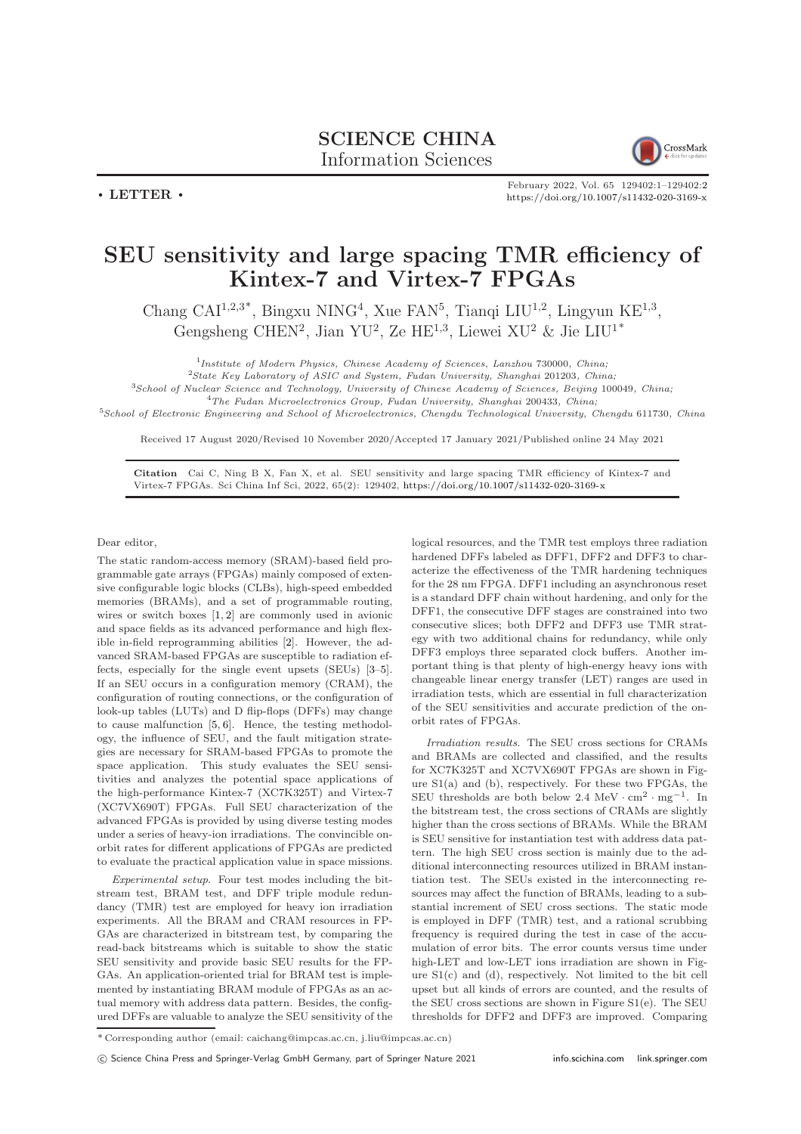## SCIENCE CHINA Information Sciences



February 2022, Vol. 65 129402:1–129402[:2](#page-1-0) <https://doi.org/10.1007/s11432-020-3169-x>

## SEU sensitivity and large spacing TMR efficiency of Kintex-7 and Virtex-7 FPGAs

Chang CAI<sup>1,2,3\*</sup>, Bingxu NING<sup>4</sup>, Xue FAN<sup>5</sup>, Tianqi LIU<sup>1,2</sup>, Lingyun KE<sup>1,3</sup>, Gengsheng CHEN<sup>2</sup>, Jian YU<sup>2</sup>, Ze HE<sup>1,3</sup>, Liewei XU<sup>2</sup> & Jie LIU<sup>1\*</sup>

<sup>1</sup>Institute of Modern Physics, Chinese Academy of Sciences, Lanzhou 730000, China;

 $2$ State Key Laboratory of ASIC and System, Fudan University, Shanghai 201203, China;

<sup>3</sup>School of Nuclear Science and Technology, University of Chinese Academy of Sciences, Beijing 100049, China;

<sup>4</sup>The Fudan Microelectronics Group, Fudan University, Shanghai 200433, China;

<sup>5</sup>School of Electronic Engineering and School of Microelectronics, Chengdu Technological University, Chengdu 611730, China

Received 17 August 2020/Revised 10 November 2020/Accepted 17 January 2021/Published online 24 May 2021

Citation Cai C, Ning B X, Fan X, et al. SEU sensitivity and large spacing TMR efficiency of Kintex-7 and Virtex-7 FPGAs. Sci China Inf Sci, 2022, 65(2): 129402, <https://doi.org/10.1007/s11432-020-3169-x>

Dear editor

 $\cdot$  LETTER  $\cdot$ 

The static random-access memory (SRAM)-based field programmable gate arrays (FPGAs) mainly composed of extensive configurable logic blocks (CLBs), high-speed embedded memories (BRAMs), and a set of programmable routing, wires or switch boxes [\[1,](#page-1-1) [2\]](#page-1-2) are commonly used in avionic and space fields as its advanced performance and high flexible in-field reprogramming abilities [\[2\]](#page-1-2). However, the advanced SRAM-based FPGAs are susceptible to radiation effects, especially for the single event upsets (SEUs) [\[3–](#page-1-3)[5\]](#page-1-4). If an SEU occurs in a configuration memory (CRAM), the configuration of routing connections, or the configuration of look-up tables (LUTs) and D flip-flops (DFFs) may change to cause malfunction [\[5,](#page-1-4) [6\]](#page-1-5). Hence, the testing methodology, the influence of SEU, and the fault mitigation strategies are necessary for SRAM-based FPGAs to promote the space application. This study evaluates the SEU sensitivities and analyzes the potential space applications of the high-performance Kintex-7 (XC7K325T) and Virtex-7 (XC7VX690T) FPGAs. Full SEU characterization of the advanced FPGAs is provided by using diverse testing modes under a series of heavy-ion irradiations. The convincible onorbit rates for different applications of FPGAs are predicted to evaluate the practical application value in space missions.

Experimental setup. Four test modes including the bitstream test, BRAM test, and DFF triple module redundancy (TMR) test are employed for heavy ion irradiation experiments. All the BRAM and CRAM resources in FP-GAs are characterized in bitstream test, by comparing the read-back bitstreams which is suitable to show the static SEU sensitivity and provide basic SEU results for the FP-GAs. An application-oriented trial for BRAM test is implemented by instantiating BRAM module of FPGAs as an actual memory with address data pattern. Besides, the configured DFFs are valuable to analyze the SEU sensitivity of the logical resources, and the TMR test employs three radiation hardened DFFs labeled as DFF1, DFF2 and DFF3 to characterize the effectiveness of the TMR hardening techniques for the 28 nm FPGA. DFF1 including an asynchronous reset is a standard DFF chain without hardening, and only for the DFF1, the consecutive DFF stages are constrained into two consecutive slices; both DFF2 and DFF3 use TMR strategy with two additional chains for redundancy, while only DFF3 employs three separated clock buffers. Another important thing is that plenty of high-energy heavy ions with changeable linear energy transfer (LET) ranges are used in irradiation tests, which are essential in full characterization of the SEU sensitivities and accurate prediction of the onorbit rates of FPGAs.

Irradiation results. The SEU cross sections for CRAMs and BRAMs are collected and classified, and the results for XC7K325T and XC7VX690T FPGAs are shown in Figure S1(a) and (b), respectively. For these two FPGAs, the SEU thresholds are both below  $2.4 \text{ MeV} \cdot \text{cm}^2 \cdot \text{mg}^{-1}$ . In the bitstream test, the cross sections of CRAMs are slightly higher than the cross sections of BRAMs. While the BRAM is SEU sensitive for instantiation test with address data pattern. The high SEU cross section is mainly due to the additional interconnecting resources utilized in BRAM instantiation test. The SEUs existed in the interconnecting resources may affect the function of BRAMs, leading to a substantial increment of SEU cross sections. The static mode is employed in DFF (TMR) test, and a rational scrubbing frequency is required during the test in case of the accumulation of error bits. The error counts versus time under high-LET and low-LET ions irradiation are shown in Figure S1(c) and (d), respectively. Not limited to the bit cell upset but all kinds of errors are counted, and the results of the SEU cross sections are shown in Figure S1(e). The SEU thresholds for DFF2 and DFF3 are improved. Comparing

c Science China Press and Springer-Verlag GmbH Germany, part of Springer Nature 2021 <info.scichina.com><link.springer.com>

<sup>\*</sup> Corresponding author (email: caichang@impcas.ac.cn, j.liu@impcas.ac.cn)